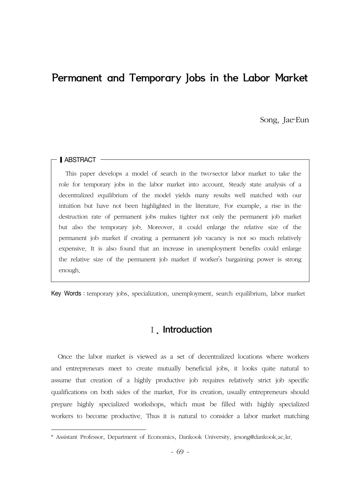# Permanent and Temporary Jobs in the Labor Market

Song, Jae-Eun

#### **Ⅰ ABSTRACT**

This paper develops a model of search in the two-sector labor market to take the role for temporary jobs in the labor market into account. Steady state analysis of a decentralized equilibrium of the model yields many results well matched with our intuition but have not been highlighted in the literature. For example, a rise in the destruction rate of permanent jobs makes tighter not only the permanent job market but also the temporary job. Moreover, it could enlarge the relative size of the permanent job market if creating a permanent job vacancy is not so much relatively expensive. It is also found that an increase in unemployment benefits could enlarge the relative size of the permanent job market if worker's bargaining power is strong enough.

Key Words: temporary jobs, specialization, unemployment, search equilibrium, labor market

### I. Introduction

Once the labor market is viewed as a set of decentralized locations where workers and entrepreneurs meet to create mutually beneficial jobs, it looks quite natural to assume that creation of a highly productive job requires relatively strict job specific qualifications on both sides of the market. For its creation, usually entrepreneurs should prepare highly specialized workshops, which must be filled with highly specialized workers to become productive. Thus it is natural to consider a labor market matching

<sup>\*</sup> Assistant Professor, Department of Economics, Dankook University, jesong@dankook.ac.kr.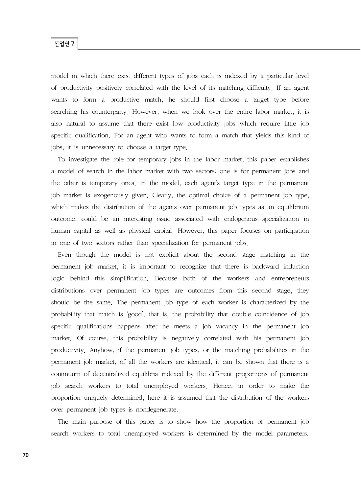model in which there exist different types of jobs each is indexed by a particular level of productivity positively correlated with the level of its matching difficulty. If an agent wants to form a productive match, he should first choose a target type before searching his counterparty. However, when we look over the entire labor market, it is also natural to assume that there exist low productivity jobs which require little job specific qualification. For an agent who wants to form a match that yields this kind of jobs, it is unnecessary to choose a target type.

To investigate the role for temporary jobs in the labor market, this paper establishes a model of search in the labor market with two sectors: one is for permanent jobs and the other is temporary ones. In the model, each agent's target type in the permanent job market is exogenously given. Clearly, the optimal choice of a permanent job type, which makes the distribution of the agents over permanent job types as an equilibrium outcome, could be an interesting issue associated with endogenous specialization in human capital as well as physical capital. However, this paper focuses on participation in one of two sectors rather than specialization for permanent jobs.

Even though the model is not explicit about the second stage matching in the permanent job market, it is important to recognize that there is backward induction logic behind this simplification. Because both of the workers and entrepreneurs distributions over permanent job types are outcomes from this second stage, they should be the same. The permanent job type of each worker is characterized by the probability that match is 'good', that is, the probability that double coincidence of job specific qualifications happens after he meets a job vacancy in the permanent job market. Of course, this probability is negatively correlated with his permanent job productivity. Anyhow, if the permanent job types, or the matching probabilities in the permanent job market, of all the workers are identical, it can be shown that there is a continuum of decentralized equilibria indexed by the different proportions of permanent job search workers to total unemployed workers. Hence, in order to make the proportion uniquely determined, here it is assumed that the distribution of the workers over permanent job types is nondegenerate.

The main purpose of this paper is to show how the proportion of permanent job search workers to total unemployed workers is determined by the model parameters.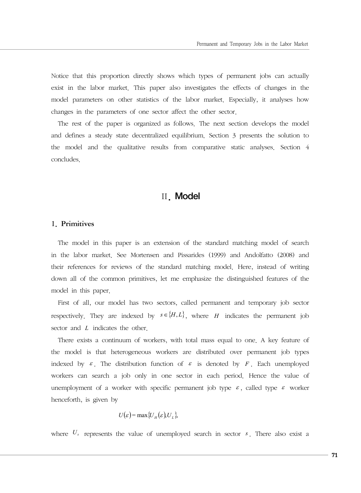Notice that this proportion directly shows which types of permanent jobs can actually exist in the labor market. This paper also investigates the effects of changes in the model parameters on other statistics of the labor market. Especially, it analyses how changes in the parameters of one sector affect the other sector.

The rest of the paper is organized as follows. The next section develops the model and defines a steady state decentralized equilibrium. Section 3 presents the solution to the model and the qualitative results from comparative static analyses. Section 4 concludes.

### Ⅱ. Model

#### 1. Primitives

The model in this paper is an extension of the standard matching model of search in the labor market. See Mortensen and Pissarides (1999) and Andolfatto (2008) and their references for reviews of the standard matching model. Here, instead of writing down all of the common primitives, let me emphasize the distinguished features of the model in this paper.

First of all, our model has two sectors, called permanent and temporary job sector respectively. They are indexed by  $s \in \{H, L\}$ , where *H* indicates the permanent job sector and *L* indicates the other.

There exists a continuum of workers, with total mass equal to one. A key feature of the model is that heterogeneous workers are distributed over permanent job types indexed by  $\varepsilon$ . The distribution function of  $\varepsilon$  is denoted by F. Each unemployed workers can search a job only in one sector in each period. Hence the value of unemployment of a worker with specific permanent job type  $\varepsilon$ , called type  $\varepsilon$  worker henceforth, is given by

$$
U(\varepsilon) = \max \{ U_H(\varepsilon), U_L \},
$$

where  $U_s$  represents the value of unemployed search in sector  $s$ . There also exist a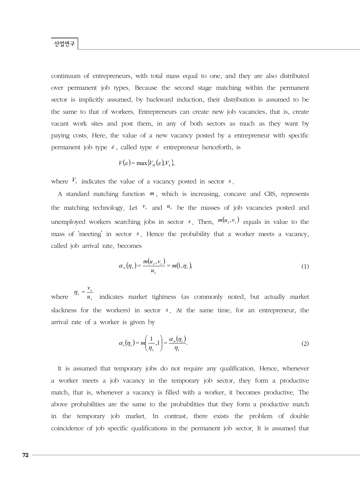continuum of entrepreneurs, with total mass equal to one, and they are also distributed over permanent job types. Because the second stage matching within the permanent sector is implicitly assumed, by backward induction, their distribution is assumed to be the same to that of workers. Entrepreneurs can create new job vacancies, that is, create vacant work sites and post them, in any of both sectors as much as they want by paying costs. Here, the value of a new vacancy posted by a entrepreneur with specific permanent job type  $\varepsilon$ , called type  $\varepsilon$  entrepreneur henceforth, is

$$
V(\varepsilon) = \max \{ V_H(\varepsilon), V_L \},
$$

where *Vs* indicates the value of a vacancy posted in sector *s*.

A standard matching function *m* , which is increasing, concave and CRS, represents the matching technology. Let  $v_s$  and  $u_s$  be the masses of job vacancies posted and unemployed workers searching jobs in sector *s*. Then,  $m(u_s, v_s)$  equals in value to the mass of 'meeting' in sector *s*. Hence the probability that a worker meets a vacancy, called job arrival rate, becomes

$$
\alpha_{w}(\eta_{s}) = \frac{m(u_{s}, v_{s})}{u_{s}} = m(1, \eta_{s}), \qquad (1)
$$

where  $\eta_s = \frac{v_s}{u_s}$  $\eta_s = \frac{v_s}{u_s}$  indicates market tightness (as commonly noted, but actually market slackness for the workers) in sector *s* . At the same time, for an entrepreneur, the arrival rate of a worker is given by

$$
\alpha_e(\eta_s) = m\left(\frac{1}{\eta_s}, 1\right) = \frac{\alpha_w(\eta_s)}{\eta_s}.
$$
\n(2)

It is assumed that temporary jobs do not require any qualification. Hence, whenever a worker meets a job vacancy in the temporary job sector, they form a productive match, that is, whenever a vacancy is filled with a worker, it becomes productive. The above probabilities are the same to the probabilities that they form a productive match in the temporary job market. In contrast, there exists the problem of double coincidence of job specific qualifications in the permanent job sector. It is assumed that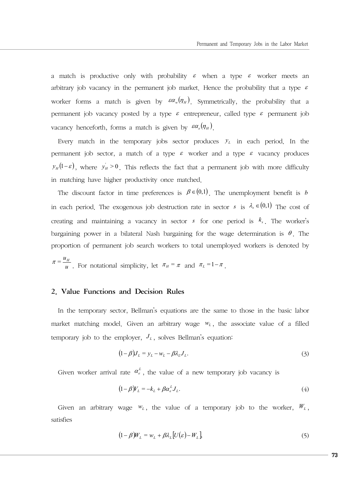a match is productive only with probability  $\varepsilon$  when a type  $\varepsilon$  worker meets an arbitrary job vacancy in the permanent job market. Hence the probability that a type  $\varepsilon$ worker forms a match is given by  $\epsilon \alpha_w(\eta_H)$  Symmetrically, the probability that a permanent job vacancy posted by a type  $\varepsilon$  entrepreneur, called type  $\varepsilon$  permanent job vacancy henceforth, forms a match is given by  $\epsilon \alpha_e (\eta_H)$ .

Every match in the temporary jobs sector produces  $y_L$  in each period. In the permanent job sector, a match of a type  $\varepsilon$  worker and a type  $\varepsilon$  vacancy produces  $y_H(1-\varepsilon)$ , where  $y'_H > 0$ . This reflects the fact that a permanent job with more difficulty in matching have higher productivity once matched.

The discount factor in time preferences is  $\beta \in (0,1)$ . The unemployment benefit is *b* in each period. The exogenous job destruction rate in sector *s* is  $\lambda_s \in (0,1)$  The cost of creating and maintaining a vacancy in sector *s* for one period is  $k<sub>s</sub>$ . The worker's bargaining power in a bilateral Nash bargaining for the wage determination is  $\theta$ . The proportion of permanent job search workers to total unemployed workers is denoted by

 $\pi = \frac{u_H}{u}$ . For notational simplicity, let  $\pi_H = \pi$  and  $\pi_L = 1 - \pi$ .

#### 2. Value Functions and Decision Rules

In the temporary sector, Bellman's equations are the same to those in the basic labor market matching model. Given an arbitrary wage  $W_L$ , the associate value of a filled temporary job to the employer,  $J_L$ , solves Bellman's equation:

$$
(1 - \beta)J_L = y_L - w_L - \beta \lambda_L J_L. \tag{3}
$$

Given worker arrival rate  $\alpha_e^L$ , the value of a new temporary job vacancy is

$$
(1 - \beta)V_L = -k_L + \beta \alpha_e^L J_L. \tag{4}
$$

Given an arbitrary wage  $w_L$ , the value of a temporary job to the worker,  $W_L$ , satisfies

$$
(1 - \beta)W_L = w_L + \beta \lambda_L [U(\varepsilon) - W_L], \tag{5}
$$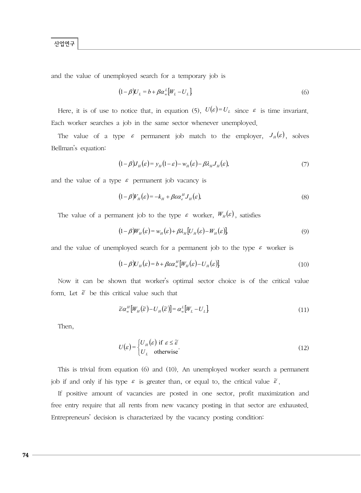and the value of unemployed search for a temporary job is

$$
(1 - \beta)U_L = b + \beta \alpha_w^L \left[W_L - U_L\right]
$$
\n<sup>(6)</sup>

Here, it is of use to notice that, in equation (5),  $U(\varepsilon) = U_L$  since  $\varepsilon$  is time invariant. Each worker searches a job in the same sector whenever unemployed.

The value of a type  $\varepsilon$  permanent job match to the employer,  $J_H(\varepsilon)$ , solves Bellman's equation:

$$
(1 - \beta)J_H(\varepsilon) = y_H(1 - \varepsilon) - w_H(\varepsilon) - \beta \lambda_H J_H(\varepsilon), \tag{7}
$$

and the value of a type  $\varepsilon$  permanent job vacancy is

$$
(1 - \beta) V_H(\varepsilon) = -k_H + \beta \varepsilon \alpha_e^H J_H(\varepsilon), \tag{8}
$$

The value of a permanent job to the type  $\varepsilon$  worker,  $W_H(\varepsilon)$ , satisfies

$$
(1 - \beta)W_H(\varepsilon) = w_H(\varepsilon) + \beta \lambda_H [U_H(\varepsilon) - W_H(\varepsilon)],
$$
\n(9)

and the value of unemployed search for a permanent job to the type  $\varepsilon$  worker is

$$
(1 - \beta)U_H(\varepsilon) = b + \beta \varepsilon \alpha_w^H \left[ W_H(\varepsilon) - U_H(\varepsilon) \right] \tag{10}
$$

Now it can be shown that worker's optimal sector choice is of the critical value form. Let  $\tilde{\varepsilon}$  be this critical value such that

$$
\widetilde{\varepsilon}\alpha_w^H \left[W_H\left(\widetilde{\varepsilon}\right) - U_H\left(\widetilde{\varepsilon}\right)\right] = \alpha_w^L \left[W_L - U_L\right] \tag{11}
$$

Then,

$$
U(\varepsilon) = \begin{cases} U_H(\varepsilon) & \text{if } \varepsilon \le \widetilde{\varepsilon} \\ U_L & \text{otherwise} \end{cases}
$$
 (12)

This is trivial from equation (6) and (10). An unemployed worker search a permanent job if and only if his type  $\varepsilon$  is greater than, or equal to, the critical value  $\tilde{\varepsilon}$ .

If positive amount of vacancies are posted in one sector, profit maximization and free entry require that all rents from new vacancy posting in that sector are exhausted. Entrepreneurs' decision is characterized by the vacancy posting condition: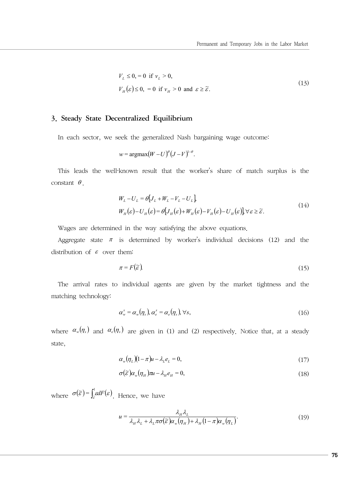$$
V_L \le 0, = 0 \text{ if } v_L > 0,
$$
  
\n
$$
V_H(\varepsilon) \le 0, = 0 \text{ if } v_H > 0 \text{ and } \varepsilon \ge \tilde{\varepsilon}.
$$
\n(13)

#### 3. Steady State Decentralized Equilibrium

In each sector, we seek the generalized Nash bargaining wage outcome:

$$
w = \operatorname{argmax}(W - U)^{\theta} (J - V)^{1-\theta}.
$$

This leads the well-known result that the worker's share of match surplus is the constant  $\theta$ .

$$
W_L - U_L = \theta [J_L + W_L - V_L - U_L],
$$
  
\n
$$
W_H(\varepsilon) - U_H(\varepsilon) = \theta [J_H(\varepsilon) + W_H(\varepsilon) - V_H(\varepsilon) - U_H(\varepsilon)] \quad \forall \varepsilon \ge \tilde{\varepsilon}.
$$
\n(14)

Wages are determined in the way satisfying the above equations.

Aggregate state  $\pi$  is determined by worker's individual decisions (12) and the distribution of  $\varepsilon$  over them:

$$
\pi = F(\widetilde{\varepsilon}) \tag{15}
$$

The arrival rates to individual agents are given by the market tightness and the matching technology:

$$
\alpha_w^s = \alpha_w(\eta_s), \alpha_e^s = \alpha_e(\eta_s), \forall s,
$$
\n(16)

where  $\alpha_w(\eta_s)$  and  $\alpha_e(\eta_s)$  are given in (1) and (2) respectively. Notice that, at a steady state,

$$
\alpha_{w}(\eta_{L})(1-\pi)u - \lambda_{L}e_{L} = 0, \qquad (17)
$$

$$
\sigma(\tilde{\varepsilon})\alpha_w(\eta_H)\pi u - \lambda_H e_H = 0,\tag{18}
$$

where  $\sigma(\tilde{\varepsilon}) = \int_{\tilde{\varepsilon}}^1 \varepsilon dF(\varepsilon)$ . Hence, we have

$$
u = \frac{\lambda_H \lambda_L}{\lambda_H \lambda_L + \lambda_L \pi \sigma(\widetilde{\varepsilon}) \alpha_w(\eta_H) + \lambda_H (1 - \pi) \alpha_w(\eta_L)}.
$$
(19)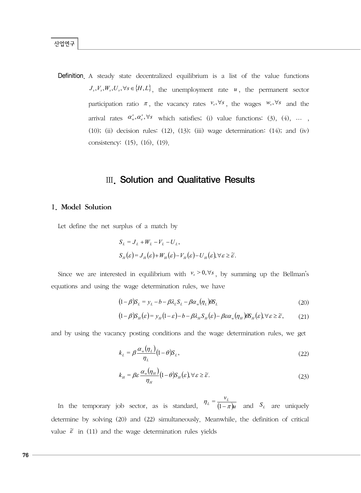Definition. A steady state decentralized equilibrium is a list of the value functions  $J_s$ ,  $V_s$ ,  $W_s$ ,  $U_s$ ,  $\forall s \in \{H, L\}$ , the unemployment rate *u*, the permanent sector participation ratio  $\pi$ , the vacancy rates  $v_s$ ,  $\forall s$ , the wages  $w_s$ ,  $\forall s$  and the arrival rates  $\alpha^s_*$ ,  $\alpha^s_*$ ,  $\forall s$  which satisfies; (i) value functions: (3), (4), ..., (10); (ii) decision rules:  $(12)$ ,  $(13)$ ;  $(iii)$  wage determination:  $(14)$ ; and  $(iv)$ consistency: (15), (16), (19).

### Ⅲ. Solution and Qualitative Results

#### 1. Model Solution

Let define the net surplus of a match by

$$
S_L = J_L + W_L - V_L - U_L,
$$
  
\n
$$
S_H(\varepsilon) = J_H(\varepsilon) + W_H(\varepsilon) - V_H(\varepsilon) - U_H(\varepsilon), \forall \varepsilon \ge \tilde{\varepsilon}.
$$

Since we are interested in equilibrium with  $v_s > 0$ ,  $\forall s$ , by summing up the Bellman's equations and using the wage determination rules, we have

$$
(1 - \beta)S_L = y_L - b - \beta \lambda_L S_L - \beta \alpha_w (\eta_L) \beta S_L
$$
\n(20)

$$
(1 - \beta)S_H(\varepsilon) = y_H(1 - \varepsilon) - b - \beta \lambda_H S_H(\varepsilon) - \beta \varepsilon \alpha_w(\eta_H) \theta S_H(\varepsilon), \forall \varepsilon \ge \widetilde{\varepsilon}, \quad (21)
$$

and by using the vacancy posting conditions and the wage determination rules, we get

$$
k_L = \beta \frac{\alpha_w(\eta_L)}{\eta_L} (1 - \theta) S_L, \qquad (22)
$$

$$
k_H = \beta \varepsilon \frac{\alpha_w(\eta_H)}{\eta_H} (1 - \theta) S_H(\varepsilon), \forall \varepsilon \ge \widetilde{\varepsilon}.
$$
 (23)

In the temporary job sector, as is standard,  $\int_{0}^{t} (1 - \pi)u$  $\eta_L = \frac{v_L}{(1 - \pi)u}$  and *S<sub>L</sub>* are uniquely determine by solving (20) and (22) simultaneously. Meanwhile, the definition of critical value  $\tilde{\varepsilon}$  in (11) and the wage determination rules yields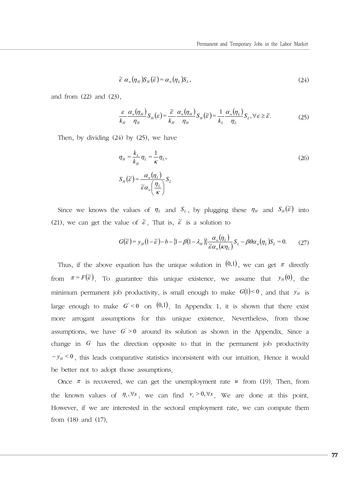$$
\widetilde{\varepsilon} \alpha_{w}(\eta_{H}) S_{H}(\widetilde{\varepsilon}) = \alpha_{w}(\eta_{L}) S_{L}, \tag{24}
$$

and from (22) and (23),

$$
\frac{\varepsilon}{k_H} \frac{\alpha_w(\eta_H)}{\eta_H} S_H(\varepsilon) = \frac{\widetilde{\varepsilon}}{k_H} \frac{\alpha_w(\eta_H)}{\eta_H} S_H(\widetilde{\varepsilon}) = \frac{1}{k_L} \frac{\alpha_w(\eta_L)}{\eta_L} S_L, \forall \varepsilon \ge \widetilde{\varepsilon}.
$$
 (25)

Then, by dividing (24) by (25), we have

$$
\eta_{H} = \frac{k_{L}}{k_{H}} \eta_{L} = \frac{1}{\kappa} \eta_{L},
$$
\n
$$
S_{H}(\widetilde{\varepsilon}) = \frac{\alpha_{w}(\eta_{L})}{\widetilde{\varepsilon}\alpha_{w}(\frac{\eta_{L}}{\kappa})} S_{L}
$$
\n(26)

Since we knows the values of  $\eta_L$  and  $S_L$ , by plugging these  $\eta_H$  and  $S_H(\tilde{\varepsilon})$  into (21), we can get the value of  $\tilde{\varepsilon}$ . That is,  $\tilde{\varepsilon}$  is a solution to

$$
G(\widetilde{\varepsilon}) = y_H(1 - \widetilde{\varepsilon}) - b - \{1 - \beta(1 - \lambda_H)\} \frac{\alpha_w(\eta_L)}{\widetilde{\varepsilon}\alpha_w(\kappa \eta_L)} S_L - \beta \theta \alpha_w(\eta_L) S_L = 0. \tag{27}
$$

Thus, if the above equation has the unique solution in  $(0,1)$ , we can get  $\pi$  directly from  $\pi = F(\tilde{\varepsilon})$ . To guarantee this unique existence, we assume that  $y_H(0)$ , the minimum permanent job productivity, is small enough to make  $G(1) < 0$ , and that  $y'_H$  is large enough to make  $G' < 0$  on  $(0,1)$ . In Appendix 1, it is shown that there exist more arrogant assumptions for this unique existence. Nevertheless, from those assumptions, we have  $G' > 0$  around its solution as shown in the Appendix. Since a change in *G* has the direction opposite to that in the permanent job productivity  $-y'_H < 0$ , this leads comparative statistics inconsistent with our intuition. Hence it would be better not to adopt those assumptions.

Once  $\pi$  is recovered, we can get the unemployment rate  $u$  from (19). Then, from the known values of  $\eta_s$ ,  $\forall s$ , we can find  $v_s > 0$ ,  $\forall s$ . We are done at this point. However, if we are interested in the sectoral employment rate, we can compute them from (18) and (17).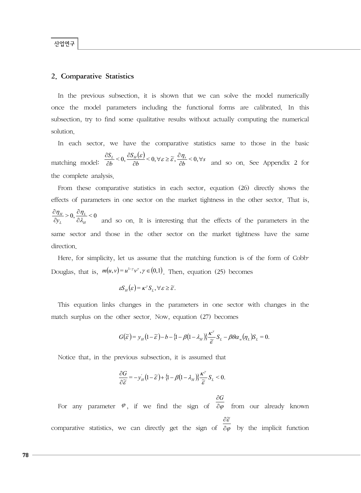#### 산업연구

#### 2. Comparative Statistics

In the previous subsection, it is shown that we can solve the model numerically once the model parameters including the functional forms are calibrated. In this subsection, try to find some qualitative results without actually computing the numerical solution.

In each sector, we have the comparative statistics same to those in the basic matching model:  $\frac{\partial S_L}{\partial b} < 0$ ,  $\frac{\partial S_H(\varepsilon)}{\partial b} < 0$ ,  $\forall \varepsilon \ge \widetilde{\varepsilon}$ ,  $\frac{\partial \eta_s}{\partial b} < 0$ ,  $\forall s$  $\frac{\mathcal{S}_L}{\partial b}$  < 0,  $\frac{\partial \mathcal{S}_H(\varepsilon)}{\partial b}$  < 0,  $\forall \varepsilon \geq \widetilde{\varepsilon}$ ,  $\frac{\partial \eta_s}{\partial b}$  < 0,  $\forall s$ ∂  $\frac{\partial S_L}{\partial b}$  < 0,  $\frac{\partial S_H(\varepsilon)}{\partial b}$  < 0,  $\forall \varepsilon \geq \tilde{\varepsilon}$ ,  $\frac{\partial \eta_s}{\partial b}$  < 0,  $\forall s$  and so on. See Appendix 2 for the complete analysis.

From these comparative statistics in each sector, equation (26) directly shows the effects of parameters in one sector on the market tightness in the other sector. That is,  $> 0, \frac{U_{II}}{U_{II}} < 0$ *H L L*  $\frac{H_H}{y_L} > 0, \frac{G_H}{\partial \lambda_L}$  $\eta_{H}$   $\sim$  0  $\eta$ ∂ ∂ ∂ ∂ and so on. It is interesting that the effects of the parameters in the same sector and those in the other sector on the market tightness have the same direction.

Here, for simplicity, let us assume that the matching function is of the form of Cobb-Douglas, that is,  $m(u, v) = u^{1-\gamma} v^{\gamma}$ ,  $\gamma \in (0,1)$ . Then, equation (25) becomes

$$
\varepsilon S_H(\varepsilon) = \kappa^\gamma S_L, \forall \varepsilon \geq \widetilde{\varepsilon}.
$$

This equation links changes in the parameters in one sector with changes in the match surplus on the other sector. Now, equation (27) becomes

$$
G(\widetilde{\varepsilon})=y_H(1-\widetilde{\varepsilon})-b-\{1-\beta(1-\lambda_H)\}\frac{\kappa^{\gamma}}{\widetilde{\varepsilon}}S_L-\beta\theta\alpha_{w}(\eta_L)S_L=0.
$$

Notice that, in the previous subsection, it is assumed that

$$
\frac{\partial G}{\partial \widetilde{\varepsilon}} = -y_H^{'}(1-\widetilde{\varepsilon}) + \{1-\beta(1-\lambda_H)\}\frac{\kappa^{\gamma}}{\widetilde{\varepsilon}}S_L < 0.
$$

For any parameter  $\varphi$ , if we find the sign of  $\partial \varphi$ ∂*G* from our already known comparative statistics, we can directly get the sign of  $\partial \varphi$ ε ∂  $\partial\widetilde{\varepsilon}$ by the implicit function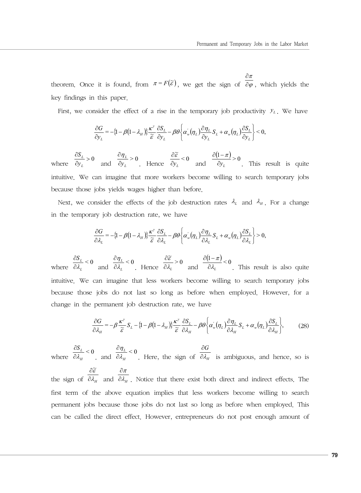theorem. Once it is found, from  $\pi = F(\tilde{\varepsilon})$ , we get the sign of  $\frac{\partial \pi}{\partial \varphi}$ ∂ ∂ , which yields the key findings in this paper.

First, we consider the effect of a rise in the temporary job productivity  $y_L$ . We have

$$
\frac{\partial G}{\partial y_L} = -\{1 - \beta(1 - \lambda_H)\} \frac{\kappa^{\gamma}}{\widetilde{\varepsilon}} \frac{\partial S_L}{\partial y_L} - \beta \theta \left\{\alpha_w'(\eta_L) \frac{\partial \eta_L}{\partial y_L} S_L + \alpha_w(\eta_L) \frac{\partial S_L}{\partial y_L}\right\} < 0,
$$

where  $\frac{\partial L}{\partial y_i} > 0$ ∂ *L*  $\frac{U_L}{V_L}$  $\frac{S_L}{S_V} > 0$  and  $\frac{\partial \eta_L}{\partial y_L} > 0$  $\frac{\partial \eta_L}{\partial y_L}$  $\frac{\partial \eta_L}{\partial y_L} > 0$  Hence  $\frac{\partial \widetilde{\varepsilon}}{\partial y_L} < 0$ ~<br>~ ∂ $y_L$ ∂<sup>ε</sup> and  $\frac{(1 - \pi)}{2} > 0$ ∂ $y_L$  $\partial (1 - \pi$ . This result is quite intuitive. We can imagine that more workers become willing to search temporary jobs because those jobs yields wages higher than before.

Next, we consider the effects of the job destruction rates  $\lambda_L$  and  $\lambda_H$ . For a change in the temporary job destruction rate, we have

$$
\frac{\partial G}{\partial \lambda_L} = -\{1 - \beta(1 - \lambda_H)\} \frac{\kappa^{\gamma}}{\widetilde{\varepsilon}} \frac{\partial S_L}{\partial \lambda_L} - \beta \theta \left\{\alpha_w'(\eta_L) \frac{\partial \eta_L}{\partial \lambda_L} S_L + \alpha_w(\eta_L) \frac{\partial S_L}{\partial \lambda_L}\right\} > 0,
$$

where  $\frac{\partial S_L}{\partial \lambda_L} < 0$  $S_L$ ∂λ  $\frac{\partial S_L}{\partial \lambda_L}$  < 0 and  $\frac{\partial \eta_L}{\partial \lambda_L}$  < 0 *L* λ η ∂  $\frac{\partial \eta_L}{\partial \lambda_L} < 0$ . Hence  $\frac{\partial \widetilde{\varepsilon}}{\partial \lambda_L} > 0$ ~<br>~  $\lambda_{\scriptscriptstyle L}$ ε ∂ ∂ and  $\frac{(1 - \pi)}{2} < 0$  $\lambda_{\scriptscriptstyle L}$ π ∂ ∂(1 – . This result is also quite intuitive. We can imagine that less workers become willing to search temporary jobs because those jobs do not last so long as before when employed. However, for a change in the permanent job destruction rate, we have

$$
\frac{\partial G}{\partial \lambda_H} = -\beta \frac{\kappa^{\gamma}}{\tilde{\varepsilon}} S_L - \left\{1 - \beta \left(1 - \lambda_H\right)\right\} \frac{\kappa^{\gamma}}{\tilde{\varepsilon}} \frac{\partial S_L}{\partial \lambda_H} - \beta \theta \left\{\alpha_w'(\eta_L) \frac{\partial \eta_L}{\partial \lambda_H} S_L + \alpha_w(\eta_L) \frac{\partial S_L}{\partial \lambda_H}\right\},\tag{28}
$$

where  $\frac{\partial S_L}{\partial \lambda_H} < 0$  $S_L$ ∂λ  $\frac{\partial S_{L}}{\partial \lambda_{H}}$  < 0 and  $\frac{\partial \eta_{L}}{\partial \lambda_{H}}$  < 0 *L* λ η ∂ ∂ . Here, the sign of  $\partial \lambda_{H}$ *G* ∂λ ∂ is ambiguous, and hence, so is

the sign of  $\partial \lambda$ <sub>*H*</sub> ε ∂  $\partial\widetilde{\varepsilon}$ and  $\partial \lambda$ <sub>H</sub> π ∂ ∂ . Notice that there exist both direct and indirect effects. The first term of the above equation implies that less workers become willing to search permanent jobs because those jobs do not last so long as before when employed. This can be called the direct effect. However, entrepreneurs do not post enough amount of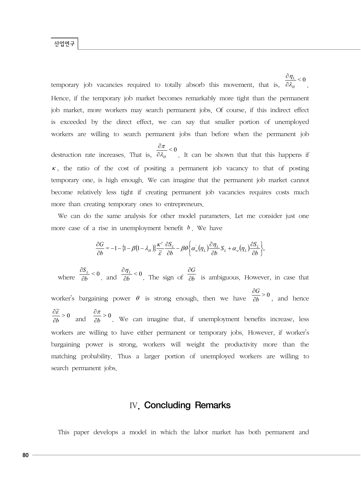temporary job vacancies required to totally absorb this movement, that is,  $\frac{\partial \eta_L}{\partial \lambda_H} < 0$ *L* λ η ∂ ∂ . Hence, if the temporary job market becomes remarkably more tight than the permanent job market, more workers may search permanent jobs. Of course, if this indirect effect is exceeded by the direct effect, we can say that smaller portion of unemployed workers are willing to search permanent jobs than before when the permanent job

destruction rate increases. That is,  $\frac{\partial h}{\partial \lambda_H} < 0$ π ∂ ∂ . It can be shown that that this happens if  $\kappa$ , the ratio of the cost of positing a permanent job vacancy to that of posting temporary one, is high enough. We can imagine that the permanent job market cannot become relatively less tight if creating permanent job vacancies requires costs much more than creating temporary ones to entrepreneurs.

We can do the same analysis for other model parameters. Let me consider just one more case of a rise in unemployment benefit *b* . We have

$$
\frac{\partial G}{\partial b} = -1 - \left\{1 - \beta \left(1 - \lambda_H\right)\right\} \frac{\kappa^{\gamma}}{\widetilde{\varepsilon}} \frac{\partial S_L}{\partial b} - \beta \theta \left\{\alpha_w'(\eta_L) \frac{\partial \eta_L}{\partial b} S_L + \alpha_w(\eta_L) \frac{\partial S_L}{\partial b}\right\},\,
$$

where  $\frac{\partial S_L}{\partial b} < 0$  $S_L$ ∂  $\frac{\partial S_L}{\partial b}$  < 0 and  $\frac{\partial \eta_L}{\partial b}$  < 0 ∂<sup>η</sup> . The sign of  $\overline{\partial b}$ *G* ∂ ∂ is ambiguous. However, in case that worker's bargaining power  $\theta$  is strong enough, then we have  $\frac{\partial \theta}{\partial b} > 0$ *G* ∂ ∂ , and hence  $> 0$  $\approx$ ∂*b*  $\frac{\partial \widetilde{\varepsilon}}{\partial b} > 0$  and  $\frac{\partial \pi}{\partial b} > 0$ ∂<sup>π</sup> . We can imagine that, if unemployment benefits increase, less workers are willing to have either permanent or temporary jobs. However, if worker's bargaining power is strong, workers will weight the productivity more than the matching probability. Thus a larger portion of unemployed workers are willing to search permanent jobs.

## Ⅳ. Concluding Remarks

This paper develops a model in which the labor market has both permanent and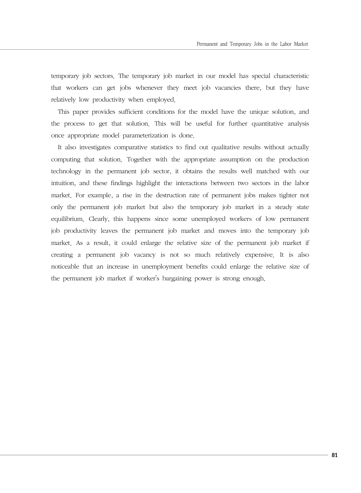temporary job sectors. The temporary job market in our model has special characteristic that workers can get jobs whenever they meet job vacancies there, but they have relatively low productivity when employed.

This paper provides sufficient conditions for the model have the unique solution, and the process to get that solution. This will be useful for further quantitative analysis once appropriate model parameterization is done.

It also investigates comparative statistics to find out qualitative results without actually computing that solution. Together with the appropriate assumption on the production technology in the permanent job sector, it obtains the results well matched with our intuition, and these findings highlight the interactions between two sectors in the labor market. For example, a rise in the destruction rate of permanent jobs makes tighter not only the permanent job market but also the temporary job market in a steady state equilibrium. Clearly, this happens since some unemployed workers of low permanent job productivity leaves the permanent job market and moves into the temporary job market. As a result, it could enlarge the relative size of the permanent job market if creating a permanent job vacancy is not so much relatively expensive. It is also noticeable that an increase in unemployment benefits could enlarge the relative size of the permanent job market if worker's bargaining power is strong enough.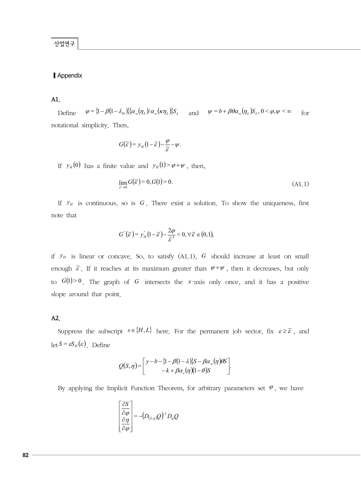#### **■** Appendix

#### A1.

Define  $\varphi = \left\{ 1 - \beta \left( 1 - \lambda_H \right) \right\} \left\{ \alpha_w(\eta_L) / \alpha_w(\kappa \eta_L) \right\} S_L$  and  $\psi = b + \beta \theta \alpha_w(\eta_L) S_L$ ,  $0 \le \varphi, \psi \le \infty$  for notational simplicity. Then,

$$
G(\widetilde{\varepsilon})=y_H(1-\widetilde{\varepsilon})-\frac{\varphi}{\widetilde{\varepsilon}}-\psi.
$$

If  $y_H(0)$  has a finite value and  $y_H(1) > \varphi + \psi$ , then,

$$
\lim_{\widetilde{\varepsilon}\to 0} G(\widetilde{\varepsilon}) > 0, G(1) > 0. \tag{A1.1}
$$

If  $\mathcal{Y}_H$  is continuous, so is G. There exist a solution. To show the uniqueness, first note that

$$
G^{''}(\widetilde{\varepsilon})=y_{H}^{''}\left(1-\widetilde{\varepsilon}\right)-\frac{2\varphi}{\widetilde{\varepsilon}^{3}}<0,\forall\widetilde{\varepsilon}\in(0,1),
$$

if  $y_H$  is linear or concave. So, to satisfy  $(A1.1)$ ,  $G$  should increase at least on small enough  $\tilde{\varepsilon}$ . If it reaches at its maximum greater than  $\varphi + \psi$ , then it decreases, but only to  $G(1) > 0$ . The graph of G intersects the *x*-axis only once, and it has a positive slope around that point.

#### A2.

Suppress the subscript  $s \in \{H, L\}$  here. For the permanent job sector, fix  $\varepsilon \geq \tilde{\varepsilon}$ , and  $\det S = \varepsilon S_H(\varepsilon)$ . Define

$$
Q(S,\eta) = \begin{bmatrix} y-b-\{1-\beta(1-\lambda)\}S-\beta\alpha_{w}(\eta)\theta S\\ -k+\beta\alpha_{e}(\eta)(1-\theta)S \end{bmatrix}.
$$

By applying the Implicit Function Theorem, for arbitrary parameters set  $\varphi$ , we have

$$
\left[\begin{array}{c}\n\frac{\partial S}{\partial \varphi} \\
\frac{\partial \eta}{\partial \varphi}\n\end{array}\right] = -(D_{(S,\eta)}Q)^{-1}D_{\varphi}Q
$$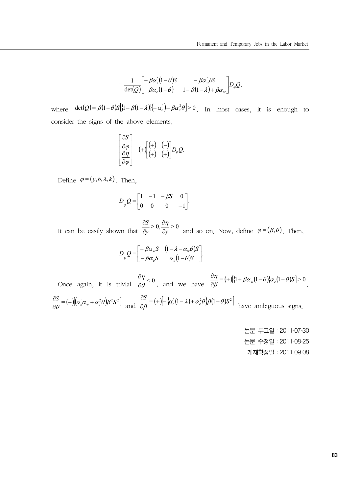$$
=\frac{1}{\det(Q)}\begin{bmatrix}-\beta\alpha'_{e}(1-\theta)S & -\beta\alpha'_{w}\theta S\\ \beta\alpha_{e}(1-\theta) & 1-\beta(1-\lambda)+\beta\alpha_{w}\end{bmatrix}D_{\varphi}Q,
$$

where  $\det(Q) = \beta(1-\theta)S[\{1-\beta(1-\lambda)\}]-\alpha_e^{\prime}\}+\beta\alpha_e^2\theta] > 0$ . In most cases, it is enough to consider the signs of the above elements.

$$
\begin{bmatrix} \frac{\partial S}{\partial \varphi} \\ \frac{\partial \eta}{\partial \varphi} \end{bmatrix} = (+\begin{bmatrix} (+) & (-) \\ (+) & (+) \end{bmatrix} D_{\varphi} Q.
$$

Define  $\varphi = (y, b, \lambda, k)$ . Then,

$$
D_{\varphi} Q = \begin{bmatrix} 1 & -1 & -\beta S & 0 \\ 0 & 0 & 0 & -1 \end{bmatrix}.
$$

It can be easily shown that  $\frac{\partial}{\partial y} > 0$ ,  $\frac{\partial}{\partial y} > 0$ *S* ∂ ∂ ∂  $\partial S$   $\partial \eta$ and so on. Now, define  $\varphi = (\beta, \theta)$ . Then,

$$
D_{\varphi} Q = \begin{bmatrix} -\beta \alpha_w S & (1 - \lambda - \alpha_w \theta) S \\ -\beta \alpha_e S & \alpha_e (1 - \theta) S \end{bmatrix}.
$$

Once again, it is trivial  $\frac{\partial \eta}{\partial \theta} < 0$ η ∂  $\frac{\partial \eta}{\partial \theta}$  < 0, and we have  $\frac{\partial \eta}{\partial \beta}$  = (+)[{1 +  $\beta \alpha_w (1 - \theta)$ } $\alpha_e (1 - \theta)S$ ] > 0 .  $\frac{\partial S}{\partial \theta} = (+ \left[ (\alpha_e^{\prime} \alpha_w + \alpha_e^2 \theta) \beta^2 S^2 \right]$  $\frac{\partial S}{\partial \theta} = (+)[(\alpha_e^{'} \alpha_w + \alpha_e^{2} \theta) \beta^2 S^2]$  and  $\frac{\partial S}{\partial \beta} = (+)[-\{\alpha_e^{'} (1-\lambda) + \alpha_e^{2} \theta\} \beta (1-\theta) S^2]$ have ambiguous signs.

> 논문 투고일:2011‐07‐30 논문 수정일:2011‐08‐25 게재확정일:2011‐09‐08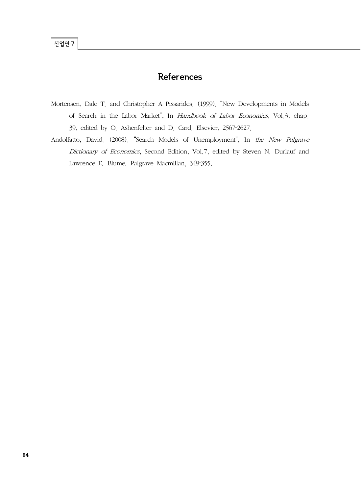## References

- Mortensen, Dale T. and Christopher A Pissarides. (1999). "New Developments in Models of Search in the Labor Market", In Handbook of Labor Economics, Vol.3, chap. 39, edited by O. Ashenfelter and D. Card. Elsevier, 2567‐2627.
- Andolfatto, David. (2008). "Search Models of Unemployment", In the New Palgrave Dictionary of Economics, Second Edition, Vol.7, edited by Steven N. Durlauf and Lawrence E. Blume. Palgrave Macmillan, 349‐355.